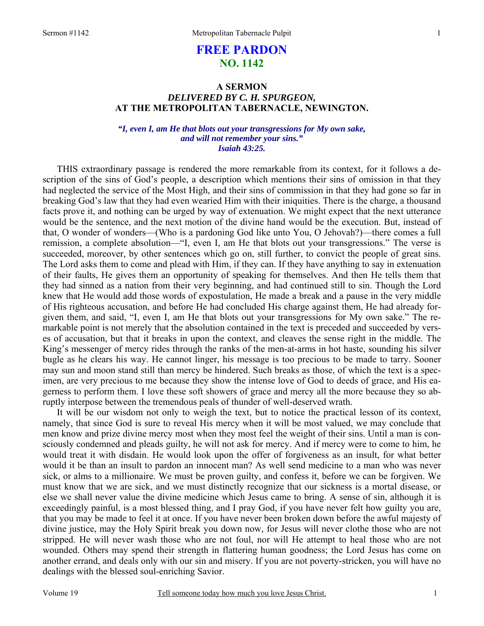# **FREE PARDON NO. 1142**

# **A SERMON**  *DELIVERED BY C. H. SPURGEON,*  **AT THE METROPOLITAN TABERNACLE, NEWINGTON.**

### *"I, even I, am He that blots out your transgressions for My own sake, and will not remember your sins." Isaiah 43:25.*

THIS extraordinary passage is rendered the more remarkable from its context, for it follows a description of the sins of God's people, a description which mentions their sins of omission in that they had neglected the service of the Most High, and their sins of commission in that they had gone so far in breaking God's law that they had even wearied Him with their iniquities. There is the charge, a thousand facts prove it, and nothing can be urged by way of extenuation. We might expect that the next utterance would be the sentence, and the next motion of the divine hand would be the execution. But, instead of that, O wonder of wonders—(Who is a pardoning God like unto You, O Jehovah?)—there comes a full remission, a complete absolution—"I, even I, am He that blots out your transgressions." The verse is succeeded, moreover, by other sentences which go on, still further, to convict the people of great sins. The Lord asks them to come and plead with Him, if they can. If they have anything to say in extenuation of their faults, He gives them an opportunity of speaking for themselves. And then He tells them that they had sinned as a nation from their very beginning, and had continued still to sin. Though the Lord knew that He would add those words of expostulation, He made a break and a pause in the very middle of His righteous accusation, and before He had concluded His charge against them, He had already forgiven them, and said, "I, even I, am He that blots out your transgressions for My own sake." The remarkable point is not merely that the absolution contained in the text is preceded and succeeded by verses of accusation, but that it breaks in upon the context, and cleaves the sense right in the middle. The King's messenger of mercy rides through the ranks of the men-at-arms in hot haste, sounding his silver bugle as he clears his way. He cannot linger, his message is too precious to be made to tarry. Sooner may sun and moon stand still than mercy be hindered. Such breaks as those, of which the text is a specimen, are very precious to me because they show the intense love of God to deeds of grace, and His eagerness to perform them. I love these soft showers of grace and mercy all the more because they so abruptly interpose between the tremendous peals of thunder of well-deserved wrath.

It will be our wisdom not only to weigh the text, but to notice the practical lesson of its context, namely, that since God is sure to reveal His mercy when it will be most valued, we may conclude that men know and prize divine mercy most when they most feel the weight of their sins. Until a man is consciously condemned and pleads guilty, he will not ask for mercy. And if mercy were to come to him, he would treat it with disdain. He would look upon the offer of forgiveness as an insult, for what better would it be than an insult to pardon an innocent man? As well send medicine to a man who was never sick, or alms to a millionaire. We must be proven guilty, and confess it, before we can be forgiven. We must know that we are sick, and we must distinctly recognize that our sickness is a mortal disease, or else we shall never value the divine medicine which Jesus came to bring. A sense of sin, although it is exceedingly painful, is a most blessed thing, and I pray God, if you have never felt how guilty you are, that you may be made to feel it at once. If you have never been broken down before the awful majesty of divine justice, may the Holy Spirit break you down now, for Jesus will never clothe those who are not stripped. He will never wash those who are not foul, nor will He attempt to heal those who are not wounded. Others may spend their strength in flattering human goodness; the Lord Jesus has come on another errand, and deals only with our sin and misery. If you are not poverty-stricken, you will have no dealings with the blessed soul-enriching Savior.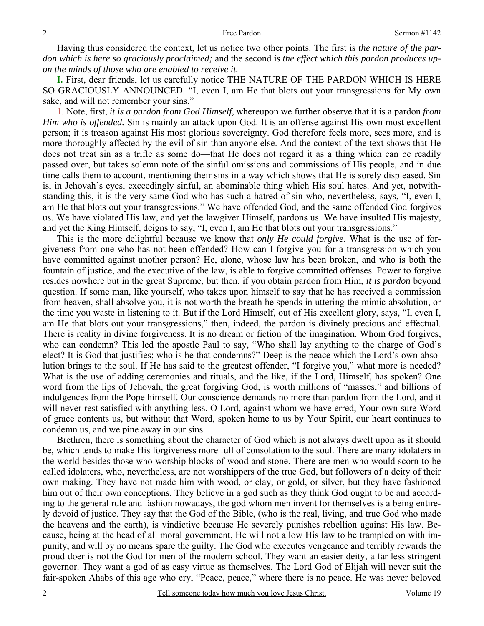Having thus considered the context, let us notice two other points. The first is *the nature of the pardon which is here so graciously proclaimed;* and the second is *the effect which this pardon produces upon the minds of those who are enabled to receive it.* 

**I.** First, dear friends, let us carefully notice THE NATURE OF THE PARDON WHICH IS HERE SO GRACIOUSLY ANNOUNCED. "I, even I, am He that blots out your transgressions for My own sake, and will not remember your sins."

1. Note, first, *it is a pardon from God Himself,* whereupon we further observe that it is a pardon *from Him who is offended.* Sin is mainly an attack upon God. It is an offense against His own most excellent person; it is treason against His most glorious sovereignty. God therefore feels more, sees more, and is more thoroughly affected by the evil of sin than anyone else. And the context of the text shows that He does not treat sin as a trifle as some do—that He does not regard it as a thing which can be readily passed over, but takes solemn note of the sinful omissions and commissions of His people, and in due time calls them to account, mentioning their sins in a way which shows that He is sorely displeased. Sin is, in Jehovah's eyes, exceedingly sinful, an abominable thing which His soul hates. And yet, notwithstanding this, it is the very same God who has such a hatred of sin who, nevertheless, says, "I, even I, am He that blots out your transgressions." We have offended God, and the same offended God forgives us. We have violated His law, and yet the lawgiver Himself, pardons us. We have insulted His majesty, and yet the King Himself, deigns to say, "I, even I, am He that blots out your transgressions."

This is the more delightful because we know that *only He could forgive*. What is the use of forgiveness from one who has not been offended? How can I forgive you for a transgression which you have committed against another person? He, alone, whose law has been broken, and who is both the fountain of justice, and the executive of the law, is able to forgive committed offenses. Power to forgive resides nowhere but in the great Supreme, but then, if you obtain pardon from Him, *it is pardon* beyond question. If some man, like yourself, who takes upon himself to say that he has received a commission from heaven, shall absolve you, it is not worth the breath he spends in uttering the mimic absolution, or the time you waste in listening to it. But if the Lord Himself, out of His excellent glory, says, "I, even I, am He that blots out your transgressions," then, indeed, the pardon is divinely precious and effectual. There is reality in divine forgiveness. It is no dream or fiction of the imagination. Whom God forgives, who can condemn? This led the apostle Paul to say, "Who shall lay anything to the charge of God's elect? It is God that justifies; who is he that condemns?" Deep is the peace which the Lord's own absolution brings to the soul. If He has said to the greatest offender, "I forgive you," what more is needed? What is the use of adding ceremonies and rituals, and the like, if the Lord, Himself, has spoken? One word from the lips of Jehovah, the great forgiving God, is worth millions of "masses," and billions of indulgences from the Pope himself. Our conscience demands no more than pardon from the Lord, and it will never rest satisfied with anything less. O Lord, against whom we have erred, Your own sure Word of grace contents us, but without that Word, spoken home to us by Your Spirit, our heart continues to condemn us, and we pine away in our sins.

Brethren, there is something about the character of God which is not always dwelt upon as it should be, which tends to make His forgiveness more full of consolation to the soul. There are many idolaters in the world besides those who worship blocks of wood and stone. There are men who would scorn to be called idolaters, who, nevertheless, are not worshippers of the true God, but followers of a deity of their own making. They have not made him with wood, or clay, or gold, or silver, but they have fashioned him out of their own conceptions. They believe in a god such as they think God ought to be and according to the general rule and fashion nowadays, the god whom men invent for themselves is a being entirely devoid of justice. They say that the God of the Bible, (who is the real, living, and true God who made the heavens and the earth), is vindictive because He severely punishes rebellion against His law. Because, being at the head of all moral government, He will not allow His law to be trampled on with impunity, and will by no means spare the guilty. The God who executes vengeance and terribly rewards the proud doer is not the God for men of the modern school. They want an easier deity, a far less stringent governor. They want a god of as easy virtue as themselves. The Lord God of Elijah will never suit the fair-spoken Ahabs of this age who cry, "Peace, peace," where there is no peace. He was never beloved

2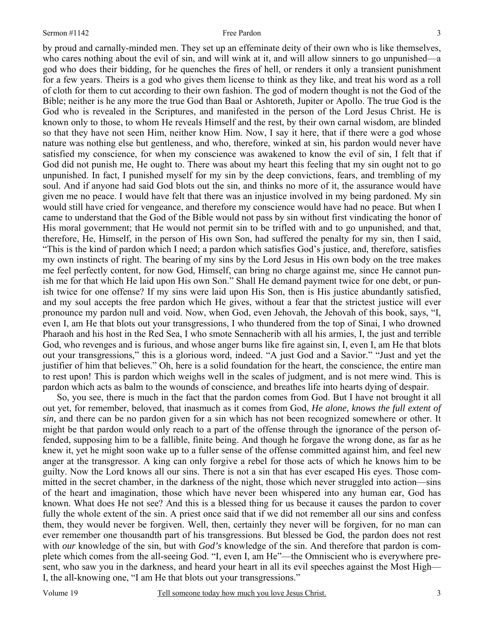by proud and carnally-minded men. They set up an effeminate deity of their own who is like themselves, who cares nothing about the evil of sin, and will wink at it, and will allow sinners to go unpunished—a god who does their bidding, for he quenches the fires of hell, or renders it only a transient punishment for a few years. Theirs is a god who gives them license to think as they like, and treat his word as a roll of cloth for them to cut according to their own fashion. The god of modern thought is not the God of the Bible; neither is he any more the true God than Baal or Ashtoreth, Jupiter or Apollo. The true God is the God who is revealed in the Scriptures, and manifested in the person of the Lord Jesus Christ. He is known only to those, to whom He reveals Himself and the rest, by their own carnal wisdom, are blinded so that they have not seen Him, neither know Him. Now, I say it here, that if there were a god whose nature was nothing else but gentleness, and who, therefore, winked at sin, his pardon would never have satisfied my conscience, for when my conscience was awakened to know the evil of sin, I felt that if God did not punish me, He ought to. There was about my heart this feeling that my sin ought not to go unpunished. In fact, I punished myself for my sin by the deep convictions, fears, and trembling of my soul. And if anyone had said God blots out the sin, and thinks no more of it, the assurance would have given me no peace. I would have felt that there was an injustice involved in my being pardoned. My sin would still have cried for vengeance, and therefore my conscience would have had no peace. But when I came to understand that the God of the Bible would not pass by sin without first vindicating the honor of His moral government; that He would not permit sin to be trifled with and to go unpunished, and that, therefore, He, Himself, in the person of His own Son, had suffered the penalty for my sin, then I said, "This is the kind of pardon which I need; a pardon which satisfies God's justice, and, therefore, satisfies my own instincts of right. The bearing of my sins by the Lord Jesus in His own body on the tree makes me feel perfectly content, for now God, Himself, can bring no charge against me, since He cannot punish me for that which He laid upon His own Son." Shall He demand payment twice for one debt, or punish twice for one offense? If my sins were laid upon His Son, then is His justice abundantly satisfied, and my soul accepts the free pardon which He gives, without a fear that the strictest justice will ever pronounce my pardon null and void. Now, when God, even Jehovah, the Jehovah of this book, says, "I, even I, am He that blots out your transgressions, I who thundered from the top of Sinai, I who drowned Pharaoh and his host in the Red Sea, I who smote Sennacherib with all his armies, I, the just and terrible God, who revenges and is furious, and whose anger burns like fire against sin, I, even I, am He that blots out your transgressions," this is a glorious word, indeed. "A just God and a Savior." "Just and yet the justifier of him that believes." Oh, here is a solid foundation for the heart, the conscience, the entire man to rest upon! This is pardon which weighs well in the scales of judgment, and is not mere wind. This is pardon which acts as balm to the wounds of conscience, and breathes life into hearts dying of despair.

So, you see, there is much in the fact that the pardon comes from God. But I have not brought it all out yet, for remember, beloved, that inasmuch as it comes from God, *He alone, knows the full extent of sin,* and there can be no pardon given for a sin which has not been recognized somewhere or other. It might be that pardon would only reach to a part of the offense through the ignorance of the person offended, supposing him to be a fallible, finite being. And though he forgave the wrong done, as far as he knew it, yet he might soon wake up to a fuller sense of the offense committed against him, and feel new anger at the transgressor. A king can only forgive a rebel for those acts of which he knows him to be guilty. Now the Lord knows all our sins. There is not a sin that has ever escaped His eyes. Those committed in the secret chamber, in the darkness of the night, those which never struggled into action—sins of the heart and imagination, those which have never been whispered into any human ear, God has known. What does He not see? And this is a blessed thing for us because it causes the pardon to cover fully the whole extent of the sin. A priest once said that if we did not remember all our sins and confess them, they would never be forgiven. Well, then, certainly they never will be forgiven, for no man can ever remember one thousandth part of his transgressions. But blessed be God, the pardon does not rest with *our* knowledge of the sin, but with *God's* knowledge of the sin. And therefore that pardon is complete which comes from the all-seeing God. "I, even I, am He"—the Omniscient who is everywhere present, who saw you in the darkness, and heard your heart in all its evil speeches against the Most High— I, the all-knowing one, "I am He that blots out your transgressions."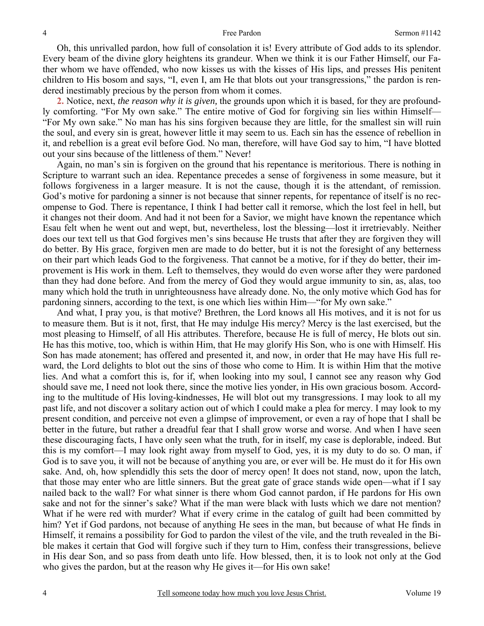Oh, this unrivalled pardon, how full of consolation it is! Every attribute of God adds to its splendor. Every beam of the divine glory heightens its grandeur. When we think it is our Father Himself, our Father whom we have offended, who now kisses us with the kisses of His lips, and presses His penitent children to His bosom and says, "I, even I, am He that blots out your transgressions," the pardon is rendered inestimably precious by the person from whom it comes.

**2.** Notice, next, *the reason why it is given,* the grounds upon which it is based, for they are profoundly comforting. "For My own sake." The entire motive of God for forgiving sin lies within Himself— "For My own sake." No man has his sins forgiven because they are little, for the smallest sin will ruin the soul, and every sin is great, however little it may seem to us. Each sin has the essence of rebellion in it, and rebellion is a great evil before God. No man, therefore, will have God say to him, "I have blotted out your sins because of the littleness of them." Never!

Again, no man's sin is forgiven on the ground that his repentance is meritorious. There is nothing in Scripture to warrant such an idea. Repentance precedes a sense of forgiveness in some measure, but it follows forgiveness in a larger measure. It is not the cause, though it is the attendant, of remission. God's motive for pardoning a sinner is not because that sinner repents, for repentance of itself is no recompense to God. There is repentance, I think I had better call it remorse, which the lost feel in hell, but it changes not their doom. And had it not been for a Savior, we might have known the repentance which Esau felt when he went out and wept, but, nevertheless, lost the blessing—lost it irretrievably. Neither does our text tell us that God forgives men's sins because He trusts that after they are forgiven they will do better. By His grace, forgiven men are made to do better, but it is not the foresight of any betterness on their part which leads God to the forgiveness. That cannot be a motive, for if they do better, their improvement is His work in them. Left to themselves, they would do even worse after they were pardoned than they had done before. And from the mercy of God they would argue immunity to sin, as, alas, too many which hold the truth in unrighteousness have already done. No, the only motive which God has for pardoning sinners, according to the text, is one which lies within Him—"for My own sake."

And what, I pray you, is that motive? Brethren, the Lord knows all His motives, and it is not for us to measure them. But is it not, first, that He may indulge His mercy? Mercy is the last exercised, but the most pleasing to Himself, of all His attributes. Therefore, because He is full of mercy, He blots out sin. He has this motive, too, which is within Him, that He may glorify His Son, who is one with Himself. His Son has made atonement; has offered and presented it, and now, in order that He may have His full reward, the Lord delights to blot out the sins of those who come to Him. It is within Him that the motive lies. And what a comfort this is, for if, when looking into my soul, I cannot see any reason why God should save me, I need not look there, since the motive lies yonder, in His own gracious bosom. According to the multitude of His loving-kindnesses, He will blot out my transgressions. I may look to all my past life, and not discover a solitary action out of which I could make a plea for mercy. I may look to my present condition, and perceive not even a glimpse of improvement, or even a ray of hope that I shall be better in the future, but rather a dreadful fear that I shall grow worse and worse. And when I have seen these discouraging facts, I have only seen what the truth, for in itself, my case is deplorable, indeed. But this is my comfort—I may look right away from myself to God, yes, it is my duty to do so. O man, if God is to save you, it will not be because of anything you are, or ever will be. He must do it for His own sake. And, oh, how splendidly this sets the door of mercy open! It does not stand, now, upon the latch, that those may enter who are little sinners. But the great gate of grace stands wide open—what if I say nailed back to the wall? For what sinner is there whom God cannot pardon, if He pardons for His own sake and not for the sinner's sake? What if the man were black with lusts which we dare not mention? What if he were red with murder? What if every crime in the catalog of guilt had been committed by him? Yet if God pardons, not because of anything He sees in the man, but because of what He finds in Himself, it remains a possibility for God to pardon the vilest of the vile, and the truth revealed in the Bible makes it certain that God will forgive such if they turn to Him, confess their transgressions, believe in His dear Son, and so pass from death unto life. How blessed, then, it is to look not only at the God who gives the pardon, but at the reason why He gives it—for His own sake!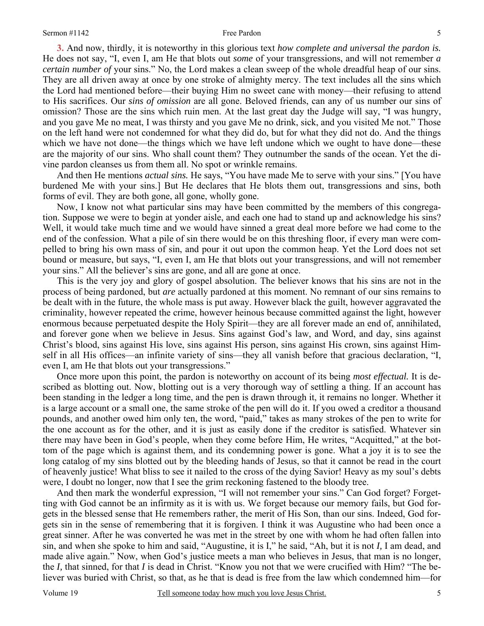**3.** And now, thirdly, it is noteworthy in this glorious text *how complete and universal the pardon is.* He does not say, "I, even I, am He that blots out *some* of your transgressions, and will not remember *a certain number of* your sins." No, the Lord makes a clean sweep of the whole dreadful heap of our sins. They are all driven away at once by one stroke of almighty mercy. The text includes all the sins which the Lord had mentioned before—their buying Him no sweet cane with money—their refusing to attend to His sacrifices. Our *sins of omission* are all gone. Beloved friends, can any of us number our sins of omission? Those are the sins which ruin men. At the last great day the Judge will say, "I was hungry, and you gave Me no meat, I was thirsty and you gave Me no drink, sick, and you visited Me not." Those on the left hand were not condemned for what they did do, but for what they did not do. And the things which we have not done—the things which we have left undone which we ought to have done—these are the majority of our sins. Who shall count them? They outnumber the sands of the ocean. Yet the divine pardon cleanses us from them all. No spot or wrinkle remains.

And then He mentions *actual sins.* He says, "You have made Me to serve with your sins." [You have burdened Me with your sins.] But He declares that He blots them out, transgressions and sins, both forms of evil. They are both gone, all gone, wholly gone.

Now, I know not what particular sins may have been committed by the members of this congregation. Suppose we were to begin at yonder aisle, and each one had to stand up and acknowledge his sins? Well, it would take much time and we would have sinned a great deal more before we had come to the end of the confession. What a pile of sin there would be on this threshing floor, if every man were compelled to bring his own mass of sin, and pour it out upon the common heap. Yet the Lord does not set bound or measure, but says, "I, even I, am He that blots out your transgressions, and will not remember your sins." All the believer's sins are gone, and all are gone at once.

This is the very joy and glory of gospel absolution. The believer knows that his sins are not in the process of being pardoned, but *are* actually pardoned at this moment. No remnant of our sins remains to be dealt with in the future, the whole mass is put away. However black the guilt, however aggravated the criminality, however repeated the crime, however heinous because committed against the light, however enormous because perpetuated despite the Holy Spirit—they are all forever made an end of, annihilated, and forever gone when we believe in Jesus. Sins against God's law, and Word, and day, sins against Christ's blood, sins against His love, sins against His person, sins against His crown, sins against Himself in all His offices—an infinite variety of sins—they all vanish before that gracious declaration, "I, even I, am He that blots out your transgressions."

Once more upon this point, the pardon is noteworthy on account of its being *most effectual.* It is described as blotting out. Now, blotting out is a very thorough way of settling a thing. If an account has been standing in the ledger a long time, and the pen is drawn through it, it remains no longer. Whether it is a large account or a small one, the same stroke of the pen will do it. If you owed a creditor a thousand pounds, and another owed him only ten, the word, "paid," takes as many strokes of the pen to write for the one account as for the other, and it is just as easily done if the creditor is satisfied. Whatever sin there may have been in God's people, when they come before Him, He writes, "Acquitted," at the bottom of the page which is against them, and its condemning power is gone. What a joy it is to see the long catalog of my sins blotted out by the bleeding hands of Jesus, so that it cannot be read in the court of heavenly justice! What bliss to see it nailed to the cross of the dying Savior! Heavy as my soul's debts were, I doubt no longer, now that I see the grim reckoning fastened to the bloody tree.

And then mark the wonderful expression, "I will not remember your sins." Can God forget? Forgetting with God cannot be an infirmity as it is with us. We forget because our memory fails, but God forgets in the blessed sense that He remembers rather, the merit of His Son, than our sins. Indeed, God forgets sin in the sense of remembering that it is forgiven. I think it was Augustine who had been once a great sinner. After he was converted he was met in the street by one with whom he had often fallen into sin, and when she spoke to him and said, "Augustine, it is I," he said, "Ah, but it is not *I,* I am dead, and made alive again." Now, when God's justice meets a man who believes in Jesus, that man is no longer, the *I,* that sinned, for that *I* is dead in Christ. "Know you not that we were crucified with Him? "The believer was buried with Christ, so that, as he that is dead is free from the law which condemned him—for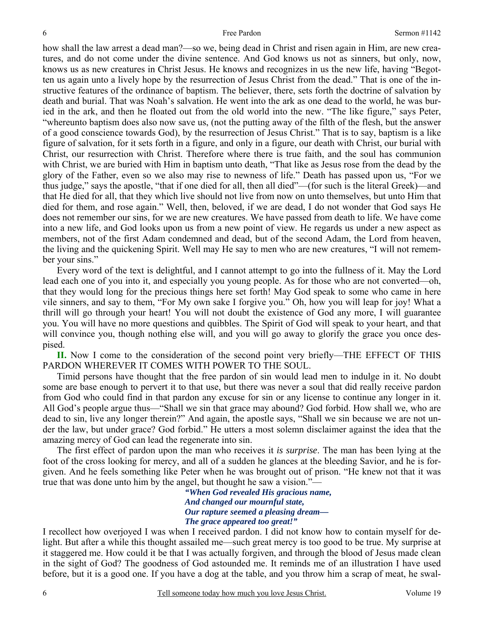how shall the law arrest a dead man?—so we, being dead in Christ and risen again in Him, are new creatures, and do not come under the divine sentence. And God knows us not as sinners, but only, now, knows us as new creatures in Christ Jesus. He knows and recognizes in us the new life, having "Begotten us again unto a lively hope by the resurrection of Jesus Christ from the dead." That is one of the instructive features of the ordinance of baptism. The believer, there, sets forth the doctrine of salvation by death and burial. That was Noah's salvation. He went into the ark as one dead to the world, he was buried in the ark, and then he floated out from the old world into the new. "The like figure," says Peter, "whereunto baptism does also now save us, (not the putting away of the filth of the flesh, but the answer of a good conscience towards God), by the resurrection of Jesus Christ." That is to say, baptism is a like figure of salvation, for it sets forth in a figure, and only in a figure, our death with Christ, our burial with Christ, our resurrection with Christ. Therefore where there is true faith, and the soul has communion with Christ, we are buried with Him in baptism unto death, "That like as Jesus rose from the dead by the glory of the Father, even so we also may rise to newness of life." Death has passed upon us, "For we thus judge," says the apostle, "that if one died for all, then all died"—(for such is the literal Greek)—and that He died for all, that they which live should not live from now on unto themselves, but unto Him that died for them, and rose again." Well, then, beloved, if we are dead, I do not wonder that God says He does not remember our sins, for we are new creatures. We have passed from death to life. We have come into a new life, and God looks upon us from a new point of view. He regards us under a new aspect as members, not of the first Adam condemned and dead, but of the second Adam, the Lord from heaven, the living and the quickening Spirit. Well may He say to men who are new creatures, "I will not remember your sins."

Every word of the text is delightful, and I cannot attempt to go into the fullness of it. May the Lord lead each one of you into it, and especially you young people. As for those who are not converted—oh, that they would long for the precious things here set forth! May God speak to some who came in here vile sinners, and say to them, "For My own sake I forgive you." Oh, how you will leap for joy! What a thrill will go through your heart! You will not doubt the existence of God any more, I will guarantee you. You will have no more questions and quibbles. The Spirit of God will speak to your heart, and that will convince you, though nothing else will, and you will go away to glorify the grace you once despised.

**II.** Now I come to the consideration of the second point very briefly—THE EFFECT OF THIS PARDON WHEREVER IT COMES WITH POWER TO THE SOUL.

Timid persons have thought that the free pardon of sin would lead men to indulge in it. No doubt some are base enough to pervert it to that use, but there was never a soul that did really receive pardon from God who could find in that pardon any excuse for sin or any license to continue any longer in it. All God's people argue thus—"Shall we sin that grace may abound? God forbid. How shall we, who are dead to sin, live any longer therein?" And again, the apostle says, "Shall we sin because we are not under the law, but under grace? God forbid." He utters a most solemn disclaimer against the idea that the amazing mercy of God can lead the regenerate into sin.

The first effect of pardon upon the man who receives it *is surprise*. The man has been lying at the foot of the cross looking for mercy, and all of a sudden he glances at the bleeding Savior, and he is forgiven. And he feels something like Peter when he was brought out of prison. "He knew not that it was true that was done unto him by the angel, but thought he saw a vision."—

> *"When God revealed His gracious name, And changed our mournful state, Our rapture seemed a pleasing dream— The grace appeared too great!"*

I recollect how overjoyed I was when I received pardon. I did not know how to contain myself for delight. But after a while this thought assailed me—such great mercy is too good to be true. My surprise at it staggered me. How could it be that I was actually forgiven, and through the blood of Jesus made clean in the sight of God? The goodness of God astounded me. It reminds me of an illustration I have used before, but it is a good one. If you have a dog at the table, and you throw him a scrap of meat, he swal-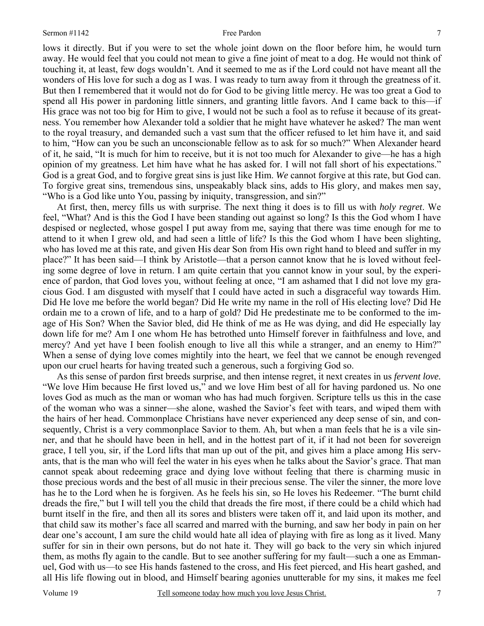lows it directly. But if you were to set the whole joint down on the floor before him, he would turn away. He would feel that you could not mean to give a fine joint of meat to a dog. He would not think of touching it, at least, few dogs wouldn't. And it seemed to me as if the Lord could not have meant all the wonders of His love for such a dog as I was. I was ready to turn away from it through the greatness of it. But then I remembered that it would not do for God to be giving little mercy. He was too great a God to spend all His power in pardoning little sinners, and granting little favors. And I came back to this—if His grace was not too big for Him to give, I would not be such a fool as to refuse it because of its greatness. You remember how Alexander told a soldier that he might have whatever he asked? The man went to the royal treasury, and demanded such a vast sum that the officer refused to let him have it, and said to him, "How can you be such an unconscionable fellow as to ask for so much?" When Alexander heard of it, he said, "It is much for him to receive, but it is not too much for Alexander to give—he has a high opinion of my greatness. Let him have what he has asked for. I will not fall short of his expectations." God is a great God, and to forgive great sins is just like Him. *We* cannot forgive at this rate, but God can. To forgive great sins, tremendous sins, unspeakably black sins, adds to His glory, and makes men say, "Who is a God like unto You, passing by iniquity, transgression, and sin?"

At first, then, mercy fills us with surprise. The next thing it does is to fill us with *holy regret*. We feel, "What? And is this the God I have been standing out against so long? Is this the God whom I have despised or neglected, whose gospel I put away from me, saying that there was time enough for me to attend to it when I grew old, and had seen a little of life? Is this the God whom I have been slighting, who has loved me at this rate, and given His dear Son from His own right hand to bleed and suffer in my place?" It has been said—I think by Aristotle—that a person cannot know that he is loved without feeling some degree of love in return. I am quite certain that you cannot know in your soul, by the experience of pardon, that God loves you, without feeling at once, "I am ashamed that I did not love my gracious God. I am disgusted with myself that I could have acted in such a disgraceful way towards Him. Did He love me before the world began? Did He write my name in the roll of His electing love? Did He ordain me to a crown of life, and to a harp of gold? Did He predestinate me to be conformed to the image of His Son? When the Savior bled, did He think of me as He was dying, and did He especially lay down life for me? Am I one whom He has betrothed unto Himself forever in faithfulness and love, and mercy? And yet have I been foolish enough to live all this while a stranger, and an enemy to Him?" When a sense of dying love comes mightily into the heart, we feel that we cannot be enough revenged upon our cruel hearts for having treated such a generous, such a forgiving God so.

As this sense of pardon first breeds surprise, and then intense regret, it next creates in us *fervent love.* "We love Him because He first loved us," and we love Him best of all for having pardoned us. No one loves God as much as the man or woman who has had much forgiven. Scripture tells us this in the case of the woman who was a sinner—she alone, washed the Savior's feet with tears, and wiped them with the hairs of her head. Commonplace Christians have never experienced any deep sense of sin, and consequently, Christ is a very commonplace Savior to them. Ah, but when a man feels that he is a vile sinner, and that he should have been in hell, and in the hottest part of it, if it had not been for sovereign grace, I tell you, sir, if the Lord lifts that man up out of the pit, and gives him a place among His servants, that is the man who will feel the water in his eyes when he talks about the Savior's grace. That man cannot speak about redeeming grace and dying love without feeling that there is charming music in those precious words and the best of all music in their precious sense. The viler the sinner, the more love has he to the Lord when he is forgiven. As he feels his sin, so He loves his Redeemer. "The burnt child dreads the fire," but I will tell you the child that dreads the fire most, if there could be a child which had burnt itself in the fire, and then all its sores and blisters were taken off it, and laid upon its mother, and that child saw its mother's face all scarred and marred with the burning, and saw her body in pain on her dear one's account, I am sure the child would hate all idea of playing with fire as long as it lived. Many suffer for sin in their own persons, but do not hate it. They will go back to the very sin which injured them, as moths fly again to the candle. But to see another suffering for my fault—such a one as Emmanuel, God with us—to see His hands fastened to the cross, and His feet pierced, and His heart gashed, and all His life flowing out in blood, and Himself bearing agonies unutterable for my sins, it makes me feel